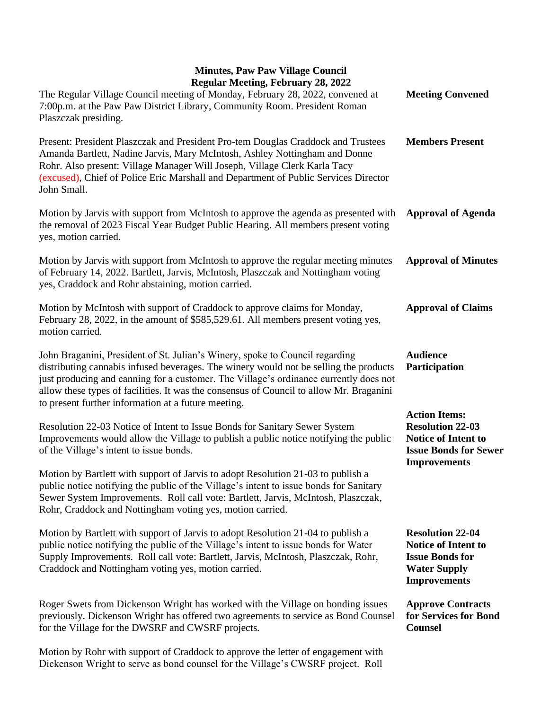| Regular Meeting, February 28, 2022<br>The Regular Village Council meeting of Monday, February 28, 2022, convened at                                                                                                                                                                                                                                                                                              | <b>Meeting Convened</b>                                                                                                              |
|------------------------------------------------------------------------------------------------------------------------------------------------------------------------------------------------------------------------------------------------------------------------------------------------------------------------------------------------------------------------------------------------------------------|--------------------------------------------------------------------------------------------------------------------------------------|
| 7:00p.m. at the Paw Paw District Library, Community Room. President Roman<br>Plaszczak presiding.                                                                                                                                                                                                                                                                                                                |                                                                                                                                      |
| Present: President Plaszczak and President Pro-tem Douglas Craddock and Trustees<br>Amanda Bartlett, Nadine Jarvis, Mary McIntosh, Ashley Nottingham and Donne<br>Rohr. Also present: Village Manager Will Joseph, Village Clerk Karla Tacy<br>(excused), Chief of Police Eric Marshall and Department of Public Services Director<br>John Small.                                                                | <b>Members Present</b>                                                                                                               |
| Motion by Jarvis with support from McIntosh to approve the agenda as presented with<br>the removal of 2023 Fiscal Year Budget Public Hearing. All members present voting<br>yes, motion carried.                                                                                                                                                                                                                 | <b>Approval of Agenda</b>                                                                                                            |
| Motion by Jarvis with support from McIntosh to approve the regular meeting minutes<br>of February 14, 2022. Bartlett, Jarvis, McIntosh, Plaszczak and Nottingham voting<br>yes, Craddock and Rohr abstaining, motion carried.                                                                                                                                                                                    | <b>Approval of Minutes</b>                                                                                                           |
| Motion by McIntosh with support of Craddock to approve claims for Monday,<br>February 28, 2022, in the amount of \$585,529.61. All members present voting yes,<br>motion carried.                                                                                                                                                                                                                                | <b>Approval of Claims</b>                                                                                                            |
| John Braganini, President of St. Julian's Winery, spoke to Council regarding<br>distributing cannabis infused beverages. The winery would not be selling the products<br>just producing and canning for a customer. The Village's ordinance currently does not<br>allow these types of facilities. It was the consensus of Council to allow Mr. Braganini<br>to present further information at a future meeting. | <b>Audience</b><br>Participation                                                                                                     |
| Resolution 22-03 Notice of Intent to Issue Bonds for Sanitary Sewer System<br>Improvements would allow the Village to publish a public notice notifying the public<br>of the Village's intent to issue bonds.                                                                                                                                                                                                    | <b>Action Items:</b><br><b>Resolution 22-03</b><br><b>Notice of Intent to</b><br><b>Issue Bonds for Sewer</b><br><b>Improvements</b> |
| Motion by Bartlett with support of Jarvis to adopt Resolution 21-03 to publish a<br>public notice notifying the public of the Village's intent to issue bonds for Sanitary<br>Sewer System Improvements. Roll call vote: Bartlett, Jarvis, McIntosh, Plaszczak,<br>Rohr, Craddock and Nottingham voting yes, motion carried.                                                                                     |                                                                                                                                      |
| Motion by Bartlett with support of Jarvis to adopt Resolution 21-04 to publish a<br>public notice notifying the public of the Village's intent to issue bonds for Water<br>Supply Improvements. Roll call vote: Bartlett, Jarvis, McIntosh, Plaszczak, Rohr,<br>Craddock and Nottingham voting yes, motion carried.                                                                                              | <b>Resolution 22-04</b><br><b>Notice of Intent to</b><br><b>Issue Bonds for</b><br><b>Water Supply</b><br><b>Improvements</b>        |
| Roger Swets from Dickenson Wright has worked with the Village on bonding issues<br>previously. Dickenson Wright has offered two agreements to service as Bond Counsel<br>for the Village for the DWSRF and CWSRF projects.                                                                                                                                                                                       | <b>Approve Contracts</b><br>for Services for Bond<br><b>Counsel</b>                                                                  |
| Motion by Rohr with support of Craddock to approve the letter of engagement with<br>Dickenson Wright to serve as bond counsel for the Village's CWSRF project. Roll                                                                                                                                                                                                                                              |                                                                                                                                      |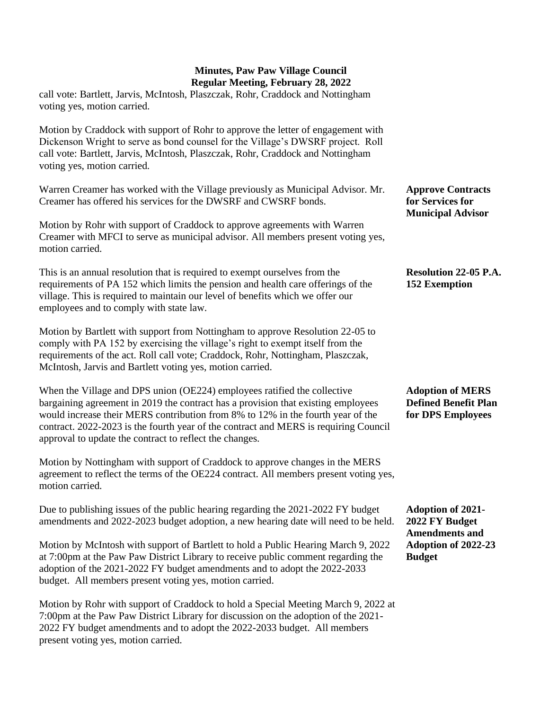call vote: Bartlett, Jarvis, McIntosh, Plaszczak, Rohr, Craddock and Nottingham voting yes, motion carried.

Motion by Craddock with support of Rohr to approve the letter of engagement with Dickenson Wright to serve as bond counsel for the Village's DWSRF project. Roll call vote: Bartlett, Jarvis, McIntosh, Plaszczak, Rohr, Craddock and Nottingham voting yes, motion carried.

Warren Creamer has worked with the Village previously as Municipal Advisor. Mr. Creamer has offered his services for the DWSRF and CWSRF bonds.

Motion by Rohr with support of Craddock to approve agreements with Warren Creamer with MFCI to serve as municipal advisor. All members present voting yes, motion carried.

This is an annual resolution that is required to exempt ourselves from the requirements of PA 152 which limits the pension and health care offerings of the village. This is required to maintain our level of benefits which we offer our employees and to comply with state law.

Motion by Bartlett with support from Nottingham to approve Resolution 22-05 to comply with PA 152 by exercising the village's right to exempt itself from the requirements of the act. Roll call vote; Craddock, Rohr, Nottingham, Plaszczak, McIntosh, Jarvis and Bartlett voting yes, motion carried.

When the Village and DPS union (OE224) employees ratified the collective bargaining agreement in 2019 the contract has a provision that existing employees would increase their MERS contribution from 8% to 12% in the fourth year of the contract. 2022-2023 is the fourth year of the contract and MERS is requiring Council approval to update the contract to reflect the changes.

Motion by Nottingham with support of Craddock to approve changes in the MERS agreement to reflect the terms of the OE224 contract. All members present voting yes, motion carried.

Due to publishing issues of the public hearing regarding the 2021-2022 FY budget amendments and 2022-2023 budget adoption, a new hearing date will need to be held.

Motion by McIntosh with support of Bartlett to hold a Public Hearing March 9, 2022 at 7:00pm at the Paw Paw District Library to receive public comment regarding the adoption of the 2021-2022 FY budget amendments and to adopt the 2022-2033 budget. All members present voting yes, motion carried.

Motion by Rohr with support of Craddock to hold a Special Meeting March 9, 2022 at 7:00pm at the Paw Paw District Library for discussion on the adoption of the 2021- 2022 FY budget amendments and to adopt the 2022-2033 budget. All members present voting yes, motion carried.

**Approve Contracts for Services for Municipal Advisor**

## **Resolution 22-05 P.A. 152 Exemption**

## **Adoption of MERS Defined Benefit Plan for DPS Employees**

**Adoption of 2021- 2022 FY Budget Amendments and Adoption of 2022-23 Budget**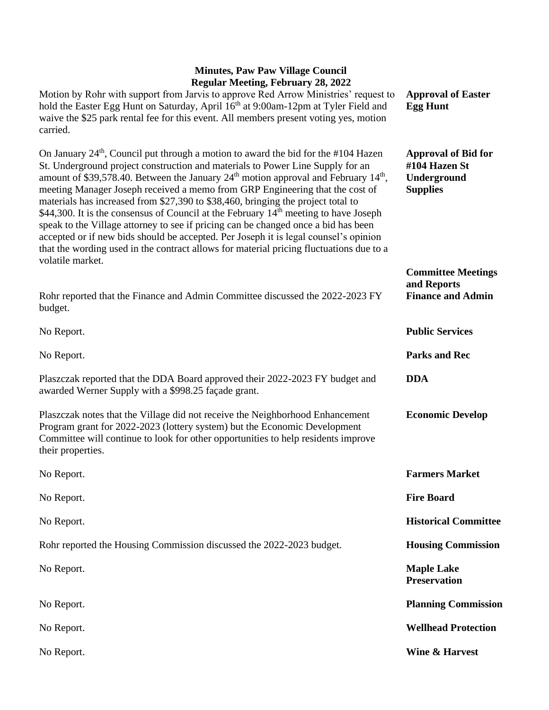| <b>Approval of Easter</b><br><b>Egg Hunt</b>                                  |
|-------------------------------------------------------------------------------|
| <b>Approval of Bid for</b><br>#104 Hazen St<br>Underground<br><b>Supplies</b> |
| <b>Committee Meetings</b><br>and Reports<br><b>Finance and Admin</b>          |
| <b>Public Services</b>                                                        |
| <b>Parks and Rec</b>                                                          |
| <b>DDA</b>                                                                    |
| <b>Economic Develop</b>                                                       |
| <b>Farmers Market</b>                                                         |
| <b>Fire Board</b>                                                             |
| <b>Historical Committee</b>                                                   |
| <b>Housing Commission</b>                                                     |
| <b>Maple Lake</b><br><b>Preservation</b>                                      |
| <b>Planning Commission</b>                                                    |
| <b>Wellhead Protection</b>                                                    |
| <b>Wine &amp; Harvest</b>                                                     |
|                                                                               |